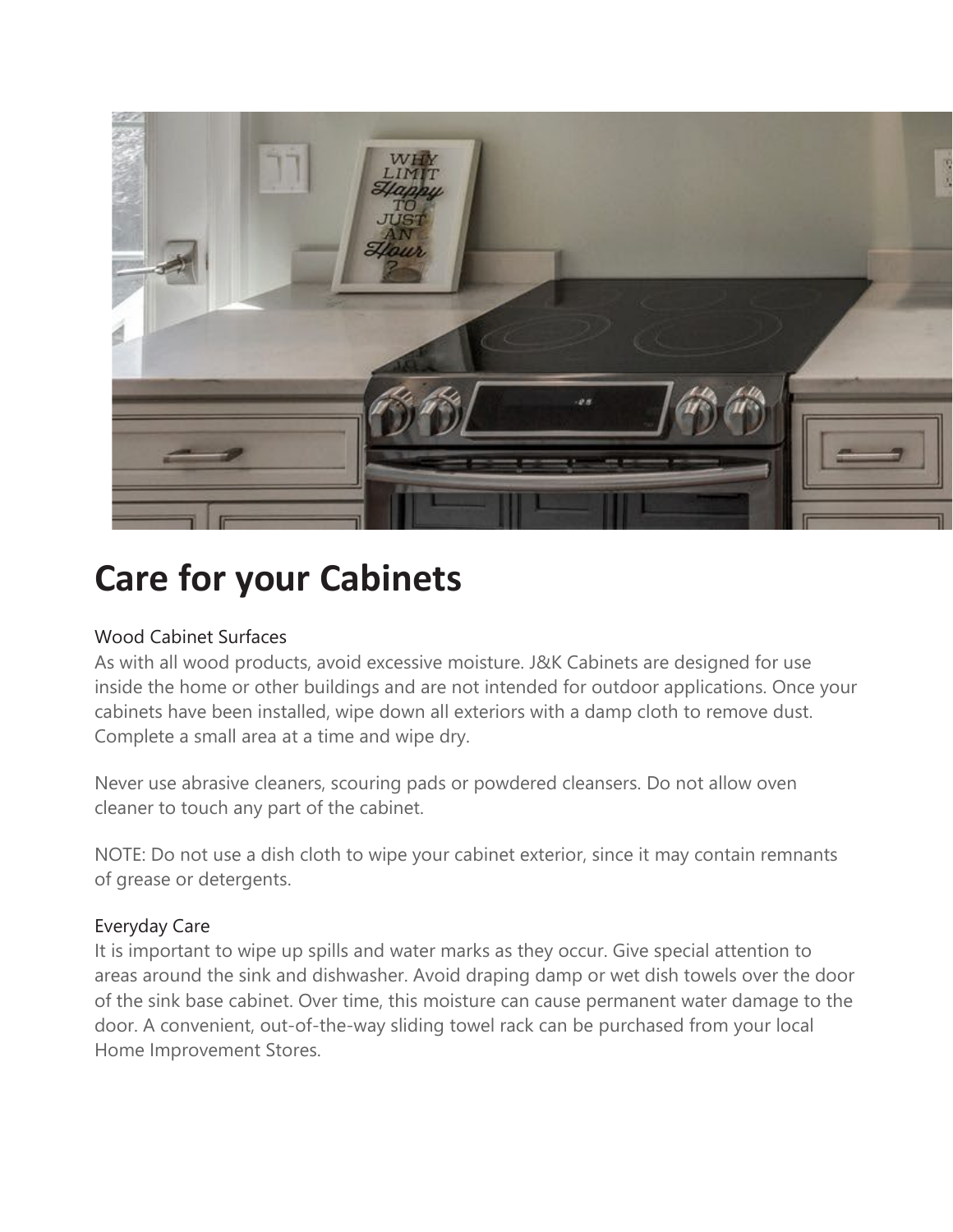

# **Care for your Cabinets**

## Wood Cabinet Surfaces

As with all wood products, avoid excessive moisture. J&K Cabinets are designed for use inside the home or other buildings and are not intended for outdoor applications. Once your cabinets have been installed, wipe down all exteriors with a damp cloth to remove dust. Complete a small area at a time and wipe dry.

Never use abrasive cleaners, scouring pads or powdered cleansers. Do not allow oven cleaner to touch any part of the cabinet.

NOTE: Do not use a dish cloth to wipe your cabinet exterior, since it may contain remnants of grease or detergents.

## Everyday Care

It is important to wipe up spills and water marks as they occur. Give special attention to areas around the sink and dishwasher. Avoid draping damp or wet dish towels over the door of the sink base cabinet. Over time, this moisture can cause permanent water damage to the door. A convenient, out-of-the-way sliding towel rack can be purchased from your local Home Improvement Stores.